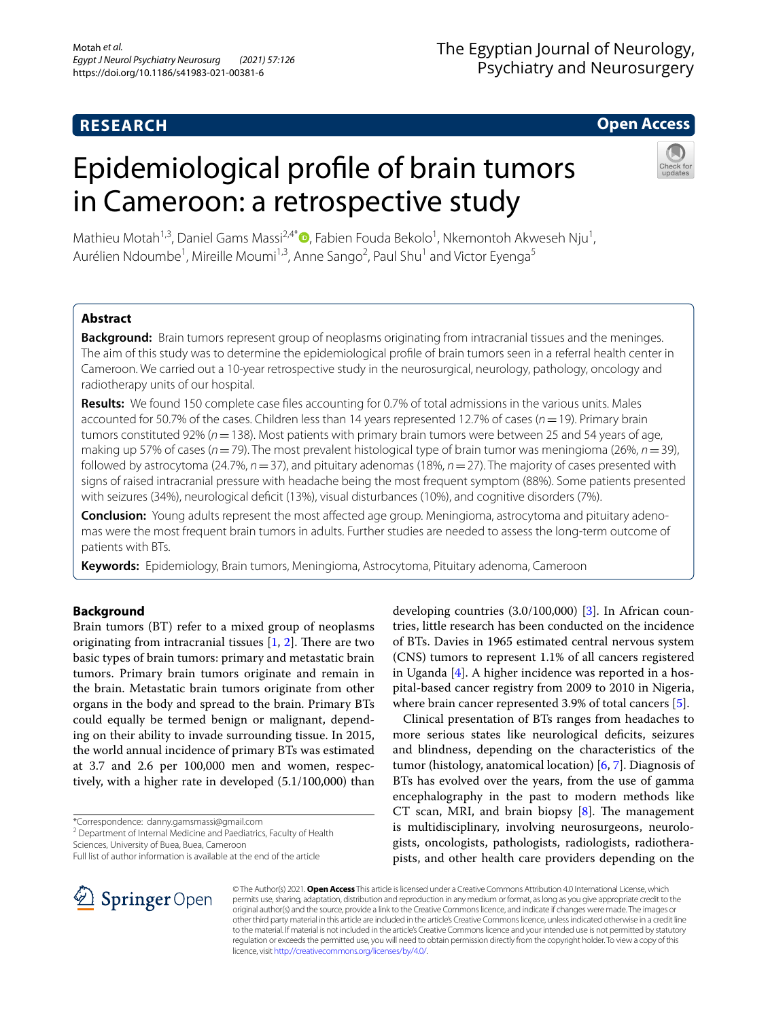# **RESEARCH**

# The Egyptian Journal of Neurology, Psychiatry and Neurosurgery

# **Open Access**

# Epidemiological profle of brain tumors in Cameroon: a retrospective study



Mathieu Motah<sup>1,3</sup>[,](http://orcid.org/0000-0003-1585-5063) Daniel Gams Massi<sup>2,4\*</sup><sup>®</sup>, Fabien Fouda Bekolo<sup>1</sup>, Nkemontoh Akweseh Nju<sup>1</sup>, Aurélien Ndoumbe<sup>1</sup>, Mireille Moumi<sup>1,3</sup>, Anne Sango<sup>2</sup>, Paul Shu<sup>1</sup> and Victor Eyenga<sup>5</sup>

# **Abstract**

**Background:** Brain tumors represent group of neoplasms originating from intracranial tissues and the meninges. The aim of this study was to determine the epidemiological profle of brain tumors seen in a referral health center in Cameroon. We carried out a 10-year retrospective study in the neurosurgical, neurology, pathology, oncology and radiotherapy units of our hospital.

**Results:** We found 150 complete case fles accounting for 0.7% of total admissions in the various units. Males accounted for 50.7% of the cases. Children less than 14 years represented 12.7% of cases (*n*=19). Primary brain tumors constituted 92% (*n*=138). Most patients with primary brain tumors were between 25 and 54 years of age, making up 57% of cases (*n*=79). The most prevalent histological type of brain tumor was meningioma (26%, *n*=39), followed by astrocytoma (24.7%, *n*=37), and pituitary adenomas (18%, *n*=27). The majority of cases presented with signs of raised intracranial pressure with headache being the most frequent symptom (88%). Some patients presented with seizures (34%), neurological deficit (13%), visual disturbances (10%), and cognitive disorders (7%).

**Conclusion:** Young adults represent the most afected age group. Meningioma, astrocytoma and pituitary adenomas were the most frequent brain tumors in adults. Further studies are needed to assess the long-term outcome of patients with BTs.

**Keywords:** Epidemiology, Brain tumors, Meningioma, Astrocytoma, Pituitary adenoma, Cameroon

# **Background**

Brain tumors (BT) refer to a mixed group of neoplasms originating from intracranial tissues  $[1, 2]$  $[1, 2]$  $[1, 2]$  $[1, 2]$ . There are two basic types of brain tumors: primary and metastatic brain tumors. Primary brain tumors originate and remain in the brain. Metastatic brain tumors originate from other organs in the body and spread to the brain. Primary BTs could equally be termed benign or malignant, depending on their ability to invade surrounding tissue. In 2015, the world annual incidence of primary BTs was estimated at 3.7 and 2.6 per 100,000 men and women, respectively, with a higher rate in developed (5.1/100,000) than

\*Correspondence: danny.gamsmassi@gmail.com

<sup>2</sup> Department of Internal Medicine and Paediatrics, Faculty of Health Sciences, University of Buea, Buea, Cameroon

Full list of author information is available at the end of the article

developing countries (3.0/100,000) [[3\]](#page-4-2). In African countries, little research has been conducted on the incidence of BTs. Davies in 1965 estimated central nervous system (CNS) tumors to represent 1.1% of all cancers registered in Uganda [[4\]](#page-4-3). A higher incidence was reported in a hospital-based cancer registry from 2009 to 2010 in Nigeria, where brain cancer represented 3.9% of total cancers [[5\]](#page-4-4).

Clinical presentation of BTs ranges from headaches to more serious states like neurological defcits, seizures and blindness, depending on the characteristics of the tumor (histology, anatomical location) [\[6](#page-4-5), [7\]](#page-4-6). Diagnosis of BTs has evolved over the years, from the use of gamma encephalography in the past to modern methods like CT scan, MRI, and brain biopsy  $[8]$  $[8]$ . The management is multidisciplinary, involving neurosurgeons, neurologists, oncologists, pathologists, radiologists, radiotherapists, and other health care providers depending on the



© The Author(s) 2021. **Open Access** This article is licensed under a Creative Commons Attribution 4.0 International License, which permits use, sharing, adaptation, distribution and reproduction in any medium or format, as long as you give appropriate credit to the original author(s) and the source, provide a link to the Creative Commons licence, and indicate if changes were made. The images or other third party material in this article are included in the article's Creative Commons licence, unless indicated otherwise in a credit line to the material. If material is not included in the article's Creative Commons licence and your intended use is not permitted by statutory regulation or exceeds the permitted use, you will need to obtain permission directly from the copyright holder. To view a copy of this licence, visit [http://creativecommons.org/licenses/by/4.0/.](http://creativecommons.org/licenses/by/4.0/)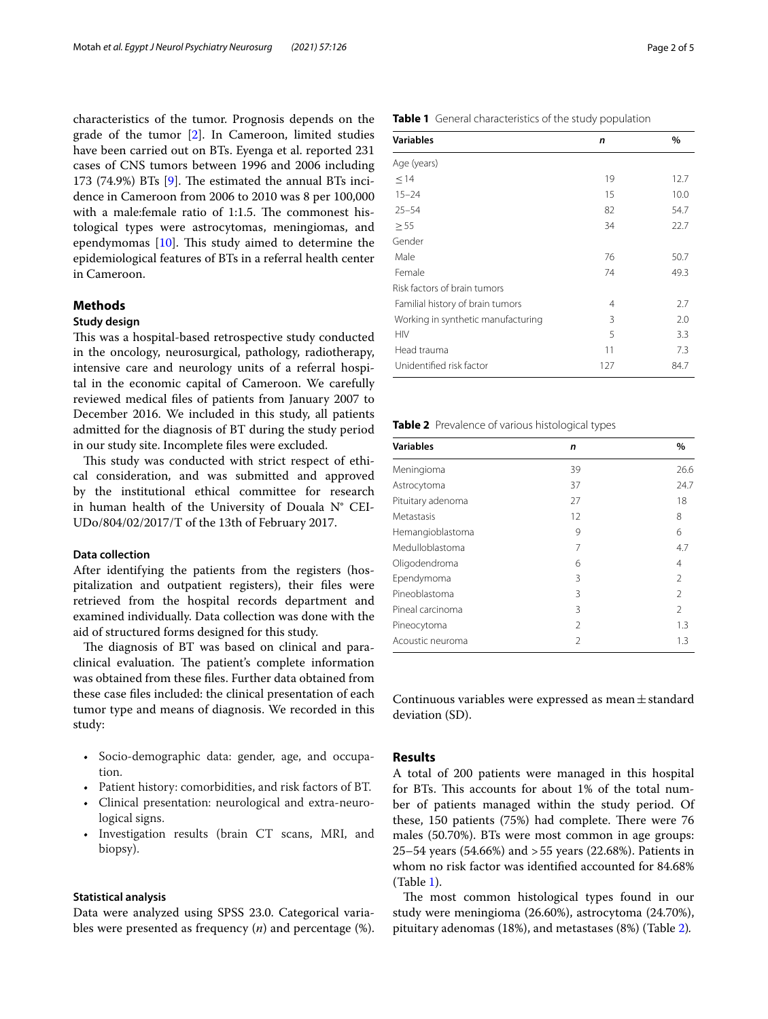characteristics of the tumor. Prognosis depends on the grade of the tumor [[2\]](#page-4-1). In Cameroon, limited studies have been carried out on BTs. Eyenga et al. reported 231 cases of CNS tumors between 1996 and 2006 including 173 (74.9%) BTs  $[9]$  $[9]$ . The estimated the annual BTs incidence in Cameroon from 2006 to 2010 was 8 per 100,000 with a male: female ratio of 1:1.5. The commonest histological types were astrocytomas, meningiomas, and ependymomas  $[10]$  $[10]$  $[10]$ . This study aimed to determine the epidemiological features of BTs in a referral health center in Cameroon.

## **Methods**

# **Study design**

This was a hospital-based retrospective study conducted in the oncology, neurosurgical, pathology, radiotherapy, intensive care and neurology units of a referral hospital in the economic capital of Cameroon. We carefully reviewed medical fles of patients from January 2007 to December 2016. We included in this study, all patients admitted for the diagnosis of BT during the study period in our study site. Incomplete fles were excluded.

This study was conducted with strict respect of ethical consideration, and was submitted and approved by the institutional ethical committee for research in human health of the University of Douala N° CEI-UDo/804/02/2017/T of the 13th of February 2017.

#### **Data collection**

After identifying the patients from the registers (hospitalization and outpatient registers), their fles were retrieved from the hospital records department and examined individually. Data collection was done with the aid of structured forms designed for this study.

The diagnosis of BT was based on clinical and paraclinical evaluation. The patient's complete information was obtained from these fles. Further data obtained from these case fles included: the clinical presentation of each tumor type and means of diagnosis. We recorded in this study:

- Socio-demographic data: gender, age, and occupation.
- Patient history: comorbidities, and risk factors of BT.
- Clinical presentation: neurological and extra-neurological signs.
- Investigation results (brain CT scans, MRI, and biopsy).

#### **Statistical analysis**

Data were analyzed using SPSS 23.0. Categorical variables were presented as frequency (*n*) and percentage (%).

| Page 2 of 5 |  |  |
|-------------|--|--|
|             |  |  |

<span id="page-1-0"></span>

| <b>Variables</b>                   | n   | $\%$ |
|------------------------------------|-----|------|
| Age (years)                        |     |      |
| < 14                               | 19  | 12.7 |
| $15 - 24$                          | 15  | 10.0 |
| $25 - 54$                          | 82  | 54.7 |
| > 55                               | 34  | 22.7 |
| Gender                             |     |      |
| Male                               | 76  | 50.7 |
| Female                             | 74  | 49.3 |
| Risk factors of brain tumors       |     |      |
| Familial history of brain tumors   | 4   | 2.7  |
| Working in synthetic manufacturing | 3   | 2.0  |
| <b>HIV</b>                         | 5   | 3.3  |
| Head trauma                        | 11  | 7.3  |
| Unidentified risk factor           | 127 | 84.7 |

#### <span id="page-1-1"></span>**Table 2** Prevalence of various histological types

| <b>Variables</b>  | n              | $\%$           |
|-------------------|----------------|----------------|
| Meningioma        | 39             | 26.6           |
| Astrocytoma       | 37             | 24.7           |
| Pituitary adenoma | 27             | 18             |
| Metastasis        | 12             | 8              |
| Hemangioblastoma  | 9              | 6              |
| Medulloblastoma   | 7              | 4.7            |
| Oligodendroma     | 6              | $\overline{4}$ |
| Ependymoma        | 3              | 2              |
| Pineoblastoma     | 3              | 2              |
| Pineal carcinoma  | 3              | $\mathfrak{D}$ |
| Pineocytoma       | $\mathfrak{D}$ | 1.3            |
| Acoustic neuroma  | 2              | 1.3            |

Continuous variables were expressed as mean $\pm$ standard deviation (SD).

## **Results**

A total of 200 patients were managed in this hospital for BTs. This accounts for about 1% of the total number of patients managed within the study period. Of these,  $150$  patients (75%) had complete. There were 76 males (50.70%). BTs were most common in age groups: 25–54 years (54.66%) and >55 years (22.68%). Patients in whom no risk factor was identifed accounted for 84.68% (Table [1\)](#page-1-0).

The most common histological types found in our study were meningioma (26.60%), astrocytoma (24.70%), pituitary adenomas (18%), and metastases (8%) (Table [2](#page-1-1))*.*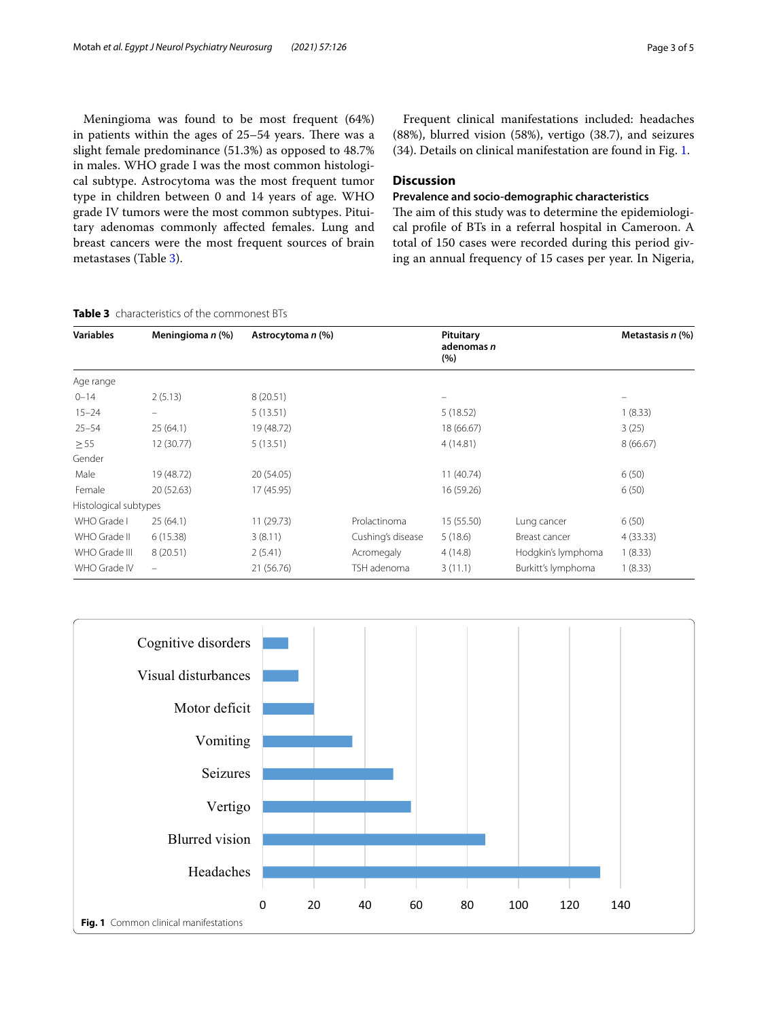Meningioma was found to be most frequent (64%) in patients within the ages of  $25-54$  years. There was a slight female predominance (51.3%) as opposed to 48.7% in males. WHO grade I was the most common histological subtype. Astrocytoma was the most frequent tumor type in children between 0 and 14 years of age. WHO grade IV tumors were the most common subtypes. Pituitary adenomas commonly afected females. Lung and breast cancers were the most frequent sources of brain metastases (Table [3](#page-2-0)).

# Frequent clinical manifestations included: headaches (88%), blurred vision (58%), vertigo (38.7), and seizures (34). Details on clinical manifestation are found in Fig. [1](#page-2-1).

# **Discussion**

# **Prevalence and socio‑demographic characteristics**

The aim of this study was to determine the epidemiological profle of BTs in a referral hospital in Cameroon. A total of 150 cases were recorded during this period giving an annual frequency of 15 cases per year. In Nigeria,

#### <span id="page-2-0"></span>**Table 3** characteristics of the commonest BTs

| <b>Variables</b>      | Meningioma $n$ (%)       | Astrocytoma n (%) |                   | Pituitary<br>adenomas n<br>(%) |                    | Metastasis $n$ (%) |
|-----------------------|--------------------------|-------------------|-------------------|--------------------------------|--------------------|--------------------|
| Age range             |                          |                   |                   |                                |                    |                    |
| $0 - 14$              | 2(5.13)                  | 8(20.51)          |                   | $\overline{\phantom{m}}$       |                    |                    |
| $15 - 24$             | -                        | 5(13.51)          |                   | 5(18.52)                       |                    | 1(8.33)            |
| $25 - 54$             | 25(64.1)                 | 19 (48.72)        |                   | 18 (66.67)                     |                    | 3(25)              |
| $\geq 55$             | 12 (30.77)               | 5(13.51)          |                   | 4(14.81)                       |                    | 8(66.67)           |
| Gender                |                          |                   |                   |                                |                    |                    |
| Male                  | 19 (48.72)               | 20 (54.05)        |                   | 11(40.74)                      |                    | 6(50)              |
| Female                | 20 (52.63)               | 17 (45.95)        |                   | 16 (59.26)                     |                    | 6(50)              |
| Histological subtypes |                          |                   |                   |                                |                    |                    |
| WHO Grade I           | 25(64.1)                 | 11(29.73)         | Prolactinoma      | 15 (55.50)                     | Lung cancer        | 6(50)              |
| WHO Grade II          | 6(15.38)                 | 3(8.11)           | Cushing's disease | 5(18.6)                        | Breast cancer      | 4(33.33)           |
| WHO Grade III         | 8(20.51)                 | 2(5.41)           | Acromegaly        | 4(14.8)                        | Hodgkin's lymphoma | 1(8.33)            |
| WHO Grade IV          | $\overline{\phantom{0}}$ | 21 (56.76)        | TSH adenoma       | 3(11.1)                        | Burkitt's lymphoma | 1(8.33)            |

<span id="page-2-1"></span>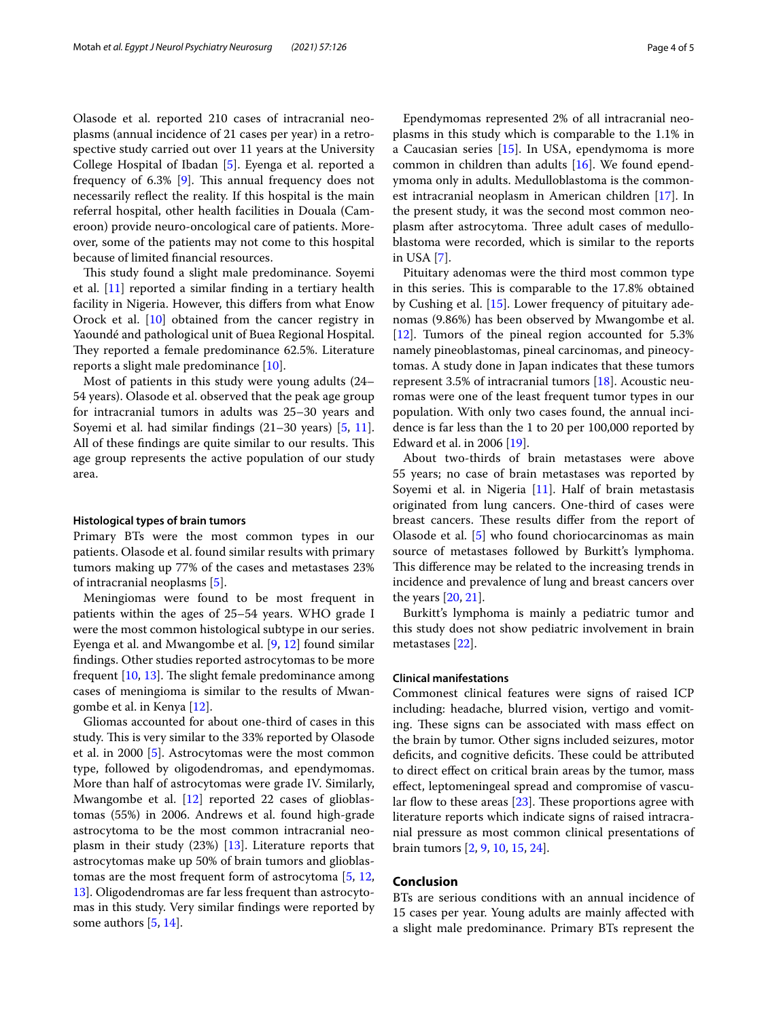Olasode et al. reported 210 cases of intracranial neoplasms (annual incidence of 21 cases per year) in a retrospective study carried out over 11 years at the University College Hospital of Ibadan [\[5\]](#page-4-4). Eyenga et al. reported a frequency of 6.3% [\[9](#page-4-8)]. This annual frequency does not necessarily refect the reality. If this hospital is the main referral hospital, other health facilities in Douala (Cameroon) provide neuro-oncological care of patients. Moreover, some of the patients may not come to this hospital because of limited fnancial resources.

This study found a slight male predominance. Soyemi et al.  $[11]$  $[11]$  reported a similar finding in a tertiary health facility in Nigeria. However, this difers from what Enow Orock et al. [[10\]](#page-4-9) obtained from the cancer registry in Yaoundé and pathological unit of Buea Regional Hospital. They reported a female predominance 62.5%. Literature reports a slight male predominance [[10](#page-4-9)].

Most of patients in this study were young adults (24– 54 years). Olasode et al. observed that the peak age group for intracranial tumors in adults was 25–30 years and Soyemi et al. had similar findings (21–30 years) [[5](#page-4-4), [11](#page-4-10)]. All of these findings are quite similar to our results. This age group represents the active population of our study area.

#### **Histological types of brain tumors**

Primary BTs were the most common types in our patients. Olasode et al. found similar results with primary tumors making up 77% of the cases and metastases 23% of intracranial neoplasms [[5\]](#page-4-4).

Meningiomas were found to be most frequent in patients within the ages of 25–54 years. WHO grade I were the most common histological subtype in our series. Eyenga et al. and Mwangombe et al. [\[9](#page-4-8), [12\]](#page-4-11) found similar fndings. Other studies reported astrocytomas to be more frequent  $[10, 13]$  $[10, 13]$  $[10, 13]$  $[10, 13]$ . The slight female predominance among cases of meningioma is similar to the results of Mwangombe et al. in Kenya [[12\]](#page-4-11).

Gliomas accounted for about one-third of cases in this study. This is very similar to the 33% reported by Olasode et al. in 2000 [\[5](#page-4-4)]. Astrocytomas were the most common type, followed by oligodendromas, and ependymomas. More than half of astrocytomas were grade IV. Similarly, Mwangombe et al. [[12](#page-4-11)] reported 22 cases of glioblastomas (55%) in 2006. Andrews et al. found high-grade astrocytoma to be the most common intracranial neoplasm in their study (23%) [[13\]](#page-4-12). Literature reports that astrocytomas make up 50% of brain tumors and glioblastomas are the most frequent form of astrocytoma [\[5](#page-4-4), [12](#page-4-11), [13\]](#page-4-12). Oligodendromas are far less frequent than astrocytomas in this study. Very similar fndings were reported by some authors [\[5](#page-4-4), [14](#page-4-13)].

Ependymomas represented 2% of all intracranial neoplasms in this study which is comparable to the 1.1% in a Caucasian series [\[15](#page-4-14)]. In USA, ependymoma is more common in children than adults [[16](#page-4-15)]. We found ependymoma only in adults. Medulloblastoma is the commonest intracranial neoplasm in American children [[17\]](#page-4-16). In the present study, it was the second most common neoplasm after astrocytoma. Three adult cases of medulloblastoma were recorded, which is similar to the reports in USA [[7\]](#page-4-6).

Pituitary adenomas were the third most common type in this series. This is comparable to the 17.8% obtained by Cushing et al. [\[15](#page-4-14)]. Lower frequency of pituitary adenomas (9.86%) has been observed by Mwangombe et al. [[12\]](#page-4-11). Tumors of the pineal region accounted for 5.3% namely pineoblastomas, pineal carcinomas, and pineocytomas. A study done in Japan indicates that these tumors represent 3.5% of intracranial tumors [\[18](#page-4-17)]. Acoustic neuromas were one of the least frequent tumor types in our population. With only two cases found, the annual incidence is far less than the 1 to 20 per 100,000 reported by Edward et al. in 2006 [\[19](#page-4-18)].

About two-thirds of brain metastases were above 55 years; no case of brain metastases was reported by Soyemi et al. in Nigeria  $[11]$  $[11]$ . Half of brain metastasis originated from lung cancers. One-third of cases were breast cancers. These results differ from the report of Olasode et al. [[5\]](#page-4-4) who found choriocarcinomas as main source of metastases followed by Burkitt's lymphoma. This difference may be related to the increasing trends in incidence and prevalence of lung and breast cancers over the years [[20](#page-4-19), [21\]](#page-4-20).

Burkitt's lymphoma is mainly a pediatric tumor and this study does not show pediatric involvement in brain metastases [[22\]](#page-4-21).

#### **Clinical manifestations**

Commonest clinical features were signs of raised ICP including: headache, blurred vision, vertigo and vomiting. These signs can be associated with mass effect on the brain by tumor. Other signs included seizures, motor deficits, and cognitive deficits. These could be attributed to direct efect on critical brain areas by the tumor, mass efect, leptomeningeal spread and compromise of vascular flow to these areas  $[23]$ . These proportions agree with literature reports which indicate signs of raised intracranial pressure as most common clinical presentations of brain tumors [\[2](#page-4-1), [9,](#page-4-8) [10](#page-4-9), [15,](#page-4-14) [24\]](#page-4-23).

#### **Conclusion**

BTs are serious conditions with an annual incidence of 15 cases per year. Young adults are mainly afected with a slight male predominance. Primary BTs represent the